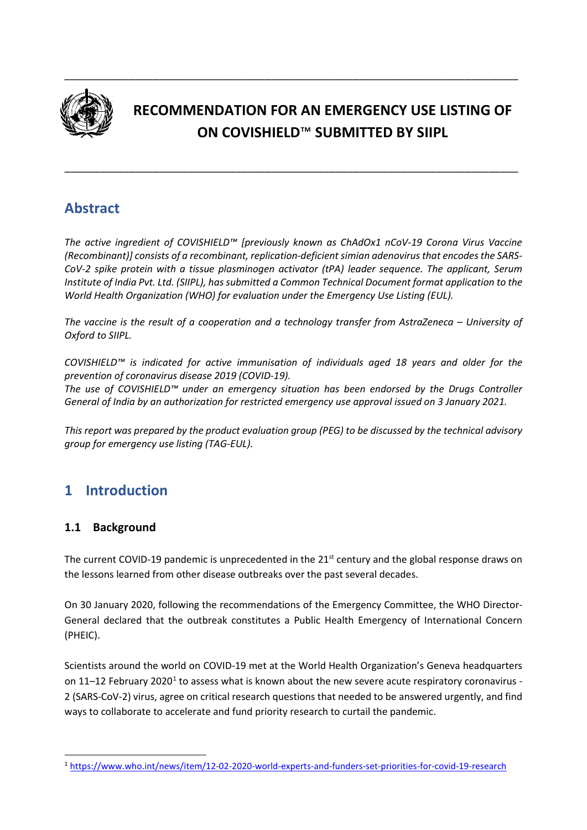

# **RECOMMENDATION FOR AN EMERGENCY USE LISTING OF ON COVISHIELD**™ **SUBMITTED BY SIIPL**

\_\_\_\_\_\_\_\_\_\_\_\_\_\_\_\_\_\_\_\_\_\_\_\_\_\_\_\_\_\_\_\_\_\_\_\_\_\_\_\_\_\_\_\_\_\_\_\_\_\_\_\_\_\_\_\_\_\_\_\_\_\_\_\_\_\_\_\_\_\_\_\_\_\_\_\_\_

\_\_\_\_\_\_\_\_\_\_\_\_\_\_\_\_\_\_\_\_\_\_\_\_\_\_\_\_\_\_\_\_\_\_\_\_\_\_\_\_\_\_\_\_\_\_\_\_\_\_\_\_\_\_\_\_\_\_\_\_\_\_\_\_\_\_\_\_\_\_\_\_\_\_\_\_\_

# **Abstract**

*The active ingredient of COVISHIELD™ [previously known as ChAdOx1 nCoV-19 Corona Virus Vaccine (Recombinant)] consists of a recombinant, replication-deficient simian adenovirus that encodes the SARS-CoV-2 spike protein with a tissue plasminogen activator (tPA) leader sequence. The applicant, Serum Institute of India Pvt. Ltd. (SIIPL), has submitted a Common Technical Document format application to the World Health Organization (WHO) for evaluation under the Emergency Use Listing (EUL).*

*The vaccine is the result of a cooperation and a technology transfer from AstraZeneca – University of Oxford to SIIPL.*

*COVISHIELD™ is indicated for active immunisation of individuals aged 18 years and older for the prevention of coronavirus disease 2019 (COVID-19).*

*The use of COVISHIELD™ under an emergency situation has been endorsed by the Drugs Controller General of India by an authorization for restricted emergency use approval issued on 3 January 2021.*

*This report was prepared by the product evaluation group (PEG) to be discussed by the technical advisory group for emergency use listing (TAG-EUL).*

# **1 Introduction**

# **1.1 Background**

The current COVID-19 pandemic is unprecedented in the 21<sup>st</sup> century and the global response draws on the lessons learned from other disease outbreaks over the past several decades.

On 30 January 2020, following the recommendations of the Emergency Committee, the WHO Director-General declared that the outbreak constitutes a Public Health Emergency of International Concern (PHEIC).

Scientists around the world on COVID-19 met at the World Health Organization's Geneva headquarters on 11–12 February 2020<sup>1</sup> to assess what is known about the new severe acute respiratory coronavirus -2 (SARS-CoV-2) virus, agree on critical research questions that needed to be answered urgently, and find ways to collaborate to accelerate and fund priority research to curtail the pandemic.

<span id="page-0-0"></span><sup>1</sup> <https://www.who.int/news/item/12-02-2020-world-experts-and-funders-set-priorities-for-covid-19-research>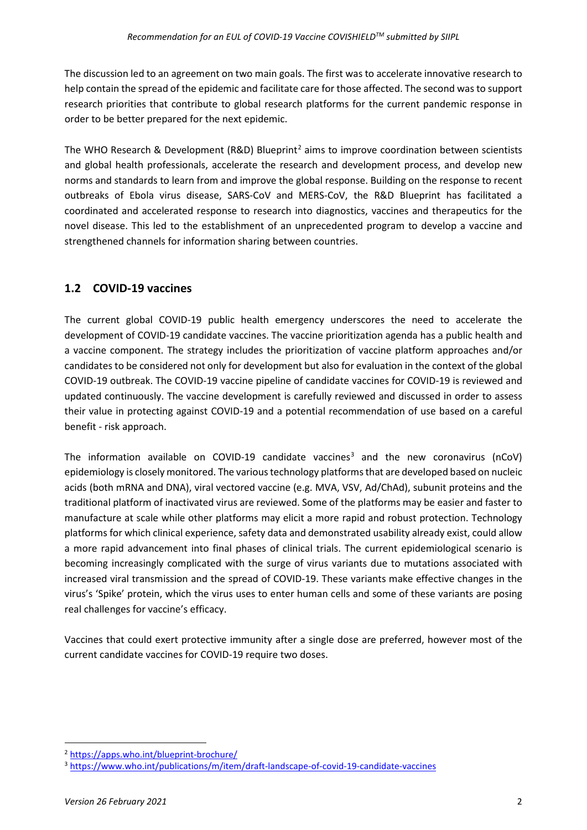The discussion led to an agreement on two main goals. The first was to accelerate innovative research to help contain the spread of the epidemic and facilitate care for those affected. The second was to support research priorities that contribute to global research platforms for the current pandemic response in order to be better prepared for the next epidemic.

The WHO Research & Development (R&D) Blueprint<sup>[2](#page-1-0)</sup> aims to improve coordination between scientists and global health professionals, accelerate the research and development process, and develop new norms and standards to learn from and improve the global response. Building on the response to recent outbreaks of Ebola virus disease, SARS-CoV and MERS-CoV, the R&D Blueprint has facilitated a coordinated and accelerated response to research into diagnostics, vaccines and therapeutics for the novel disease. This led to the establishment of an unprecedented program to develop a vaccine and strengthened channels for information sharing between countries.

# **1.2 COVID-19 vaccines**

The current global COVID-19 public health emergency underscores the need to accelerate the development of COVID-19 candidate vaccines. The vaccine prioritization agenda has a public health and a vaccine component. The strategy includes the prioritization of vaccine platform approaches and/or candidates to be considered not only for development but also for evaluation in the context of the global COVID-19 outbreak. The COVID-19 vaccine pipeline of candidate vaccines for COVID-19 is reviewed and updated continuously. The vaccine development is carefully reviewed and discussed in order to assess their value in protecting against COVID-19 and a potential recommendation of use based on a careful benefit - risk approach.

The information available on COVID-19 candidate vaccines<sup>[3](#page-1-1)</sup> and the new coronavirus (nCoV) epidemiology is closely monitored. The various technology platformsthat are developed based on nucleic acids (both mRNA and DNA), viral vectored vaccine (e.g. MVA, VSV, Ad/ChAd), subunit proteins and the traditional platform of inactivated virus are reviewed. Some of the platforms may be easier and faster to manufacture at scale while other platforms may elicit a more rapid and robust protection. Technology platforms for which clinical experience, safety data and demonstrated usability already exist, could allow a more rapid advancement into final phases of clinical trials. The current epidemiological scenario is becoming increasingly complicated with the surge of virus variants due to mutations associated with increased viral transmission and the spread of COVID-19. These variants make effective changes in the virus's 'Spike' protein, which the virus uses to enter human cells and some of these variants are posing real challenges for vaccine's efficacy.

Vaccines that could exert protective immunity after a single dose are preferred, however most of the current candidate vaccines for COVID-19 require two doses.

<span id="page-1-0"></span><sup>2</sup> <https://apps.who.int/blueprint-brochure/>

<span id="page-1-1"></span><sup>3</sup> <https://www.who.int/publications/m/item/draft-landscape-of-covid-19-candidate-vaccines>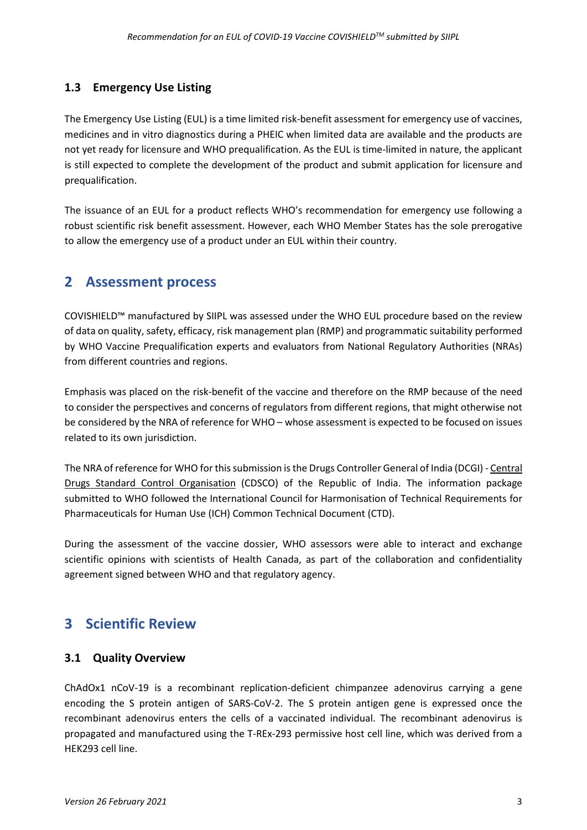# **1.3 Emergency Use Listing**

The Emergency Use Listing (EUL) is a time limited risk-benefit assessment for emergency use of vaccines, medicines and in vitro diagnostics during a PHEIC when limited data are available and the products are not yet ready for licensure and WHO prequalification. As the EUL is time-limited in nature, the applicant is still expected to complete the development of the product and submit application for licensure and prequalification.

The issuance of an EUL for a product reflects WHO's recommendation for emergency use following a robust scientific risk benefit assessment. However, each WHO Member States has the sole prerogative to allow the emergency use of a product under an EUL within their country.

# **2 Assessment process**

COVISHIELD™ manufactured by SIIPL was assessed under the WHO EUL procedure based on the review of data on quality, safety, efficacy, risk management plan (RMP) and programmatic suitability performed by WHO Vaccine Prequalification experts and evaluators from National Regulatory Authorities (NRAs) from different countries and regions.

Emphasis was placed on the risk-benefit of the vaccine and therefore on the RMP because of the need to consider the perspectives and concerns of regulators from different regions, that might otherwise not be considered by the NRA of reference for WHO – whose assessment is expected to be focused on issues related to its own jurisdiction.

The NRA of reference for WHO for this submission is the Drugs Controller General of India (DCGI) - [Central](https://en.wikipedia.org/wiki/Central_Drugs_Standard_Control_Organisation)  [Drugs Standard Control Organisation](https://en.wikipedia.org/wiki/Central_Drugs_Standard_Control_Organisation) (CDSCO) of the Republic of India. The information package submitted to WHO followed the International Council for Harmonisation of Technical Requirements for Pharmaceuticals for Human Use (ICH) Common Technical Document (CTD).

During the assessment of the vaccine dossier, WHO assessors were able to interact and exchange scientific opinions with scientists of Health Canada, as part of the collaboration and confidentiality agreement signed between WHO and that regulatory agency.

# **3 Scientific Review**

# **3.1 Quality Overview**

ChAdOx1 nCoV-19 is a recombinant replication-deficient chimpanzee adenovirus carrying a gene encoding the S protein antigen of SARS-CoV-2. The S protein antigen gene is expressed once the recombinant adenovirus enters the cells of a vaccinated individual. The recombinant adenovirus is propagated and manufactured using the T-REx-293 permissive host cell line, which was derived from a HEK293 cell line.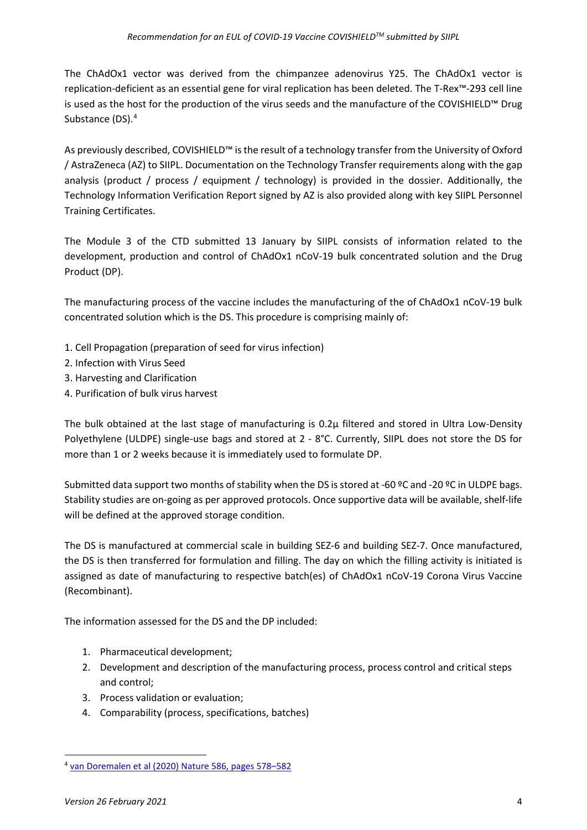The ChAdOx1 vector was derived from the chimpanzee adenovirus Y25. The ChAdOx1 vector is replication-deficient as an essential gene for viral replication has been deleted. The T-Rex™-293 cell line is used as the host for the production of the virus seeds and the manufacture of the COVISHIELD™ Drug Substance (DS).<sup>[4](#page-3-0)</sup>

As previously described, COVISHIELD™ is the result of a technology transfer from the University of Oxford / AstraZeneca (AZ) to SIIPL. Documentation on the Technology Transfer requirements along with the gap analysis (product / process / equipment / technology) is provided in the dossier. Additionally, the Technology Information Verification Report signed by AZ is also provided along with key SIIPL Personnel Training Certificates.

The Module 3 of the CTD submitted 13 January by SIIPL consists of information related to the development, production and control of ChAdOx1 nCoV-19 bulk concentrated solution and the Drug Product (DP).

The manufacturing process of the vaccine includes the manufacturing of the of ChAdOx1 nCoV-19 bulk concentrated solution which is the DS. This procedure is comprising mainly of:

- 1. Cell Propagation (preparation of seed for virus infection)
- 2. Infection with Virus Seed
- 3. Harvesting and Clarification
- 4. Purification of bulk virus harvest

The bulk obtained at the last stage of manufacturing is 0.2µ filtered and stored in Ultra Low-Density Polyethylene (ULDPE) single-use bags and stored at 2 - 8°C. Currently, SIIPL does not store the DS for more than 1 or 2 weeks because it is immediately used to formulate DP.

Submitted data support two months of stability when the DS is stored at -60 °C and -20 °C in ULDPE bags. Stability studies are on-going as per approved protocols. Once supportive data will be available, shelf-life will be defined at the approved storage condition.

The DS is manufactured at commercial scale in building SEZ-6 and building SEZ-7. Once manufactured, the DS is then transferred for formulation and filling. The day on which the filling activity is initiated is assigned as date of manufacturing to respective batch(es) of ChAdOx1 nCoV-19 Corona Virus Vaccine (Recombinant).

The information assessed for the DS and the DP included:

- 1. Pharmaceutical development;
- 2. Development and description of the manufacturing process, process control and critical steps and control;
- 3. Process validation or evaluation;
- 4. Comparability (process, specifications, batches)

<span id="page-3-0"></span><sup>4</sup> [van Doremalen et al \(2020\) Nature 586, pages 578–582](https://www.nature.com/articles/s41586-020-2608-y)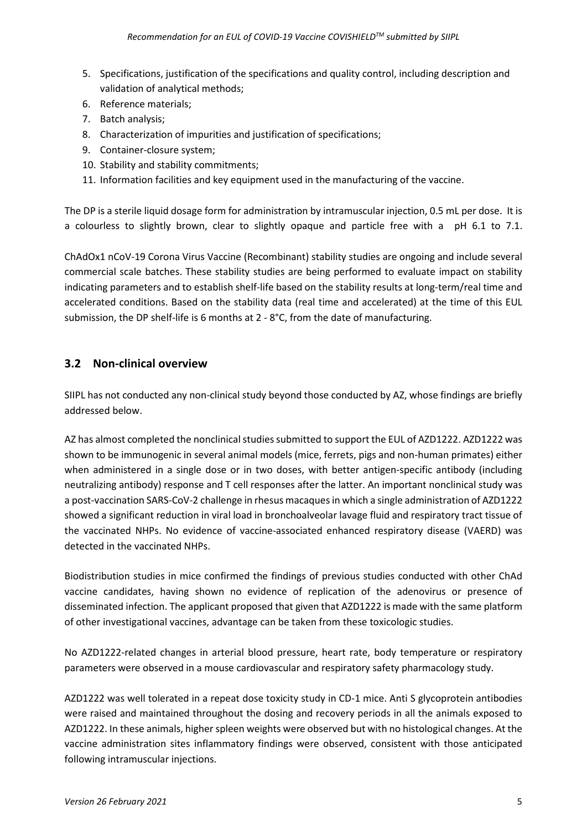- 5. Specifications, justification of the specifications and quality control, including description and validation of analytical methods;
- 6. Reference materials;
- 7. Batch analysis;
- 8. Characterization of impurities and justification of specifications;
- 9. Container-closure system;
- 10. Stability and stability commitments;
- 11. Information facilities and key equipment used in the manufacturing of the vaccine.

The DP is a sterile liquid dosage form for administration by intramuscular injection, 0.5 mL per dose. It is a colourless to slightly brown, clear to slightly opaque and particle free with a pH 6.1 to 7.1.

ChAdOx1 nCoV-19 Corona Virus Vaccine (Recombinant) stability studies are ongoing and include several commercial scale batches. These stability studies are being performed to evaluate impact on stability indicating parameters and to establish shelf-life based on the stability results at long-term/real time and accelerated conditions. Based on the stability data (real time and accelerated) at the time of this EUL submission, the DP shelf-life is 6 months at 2 - 8°C, from the date of manufacturing.

## **3.2 Non-clinical overview**

SIIPL has not conducted any non-clinical study beyond those conducted by AZ, whose findings are briefly addressed below.

AZ has almost completed the nonclinical studies submitted to support the EUL of AZD1222. AZD1222 was shown to be immunogenic in several animal models (mice, ferrets, pigs and non-human primates) either when administered in a single dose or in two doses, with better antigen-specific antibody (including neutralizing antibody) response and T cell responses after the latter. An important nonclinical study was a post-vaccination SARS-CoV-2 challenge in rhesus macaques in which a single administration of AZD1222 showed a significant reduction in viral load in bronchoalveolar lavage fluid and respiratory tract tissue of the vaccinated NHPs. No evidence of vaccine-associated enhanced respiratory disease (VAERD) was detected in the vaccinated NHPs.

Biodistribution studies in mice confirmed the findings of previous studies conducted with other ChAd vaccine candidates, having shown no evidence of replication of the adenovirus or presence of disseminated infection. The applicant proposed that given that AZD1222 is made with the same platform of other investigational vaccines, advantage can be taken from these toxicologic studies.

No AZD1222-related changes in arterial blood pressure, heart rate, body temperature or respiratory parameters were observed in a mouse cardiovascular and respiratory safety pharmacology study.

AZD1222 was well tolerated in a repeat dose toxicity study in CD-1 mice. Anti S glycoprotein antibodies were raised and maintained throughout the dosing and recovery periods in all the animals exposed to AZD1222. In these animals, higher spleen weights were observed but with no histological changes. At the vaccine administration sites inflammatory findings were observed, consistent with those anticipated following intramuscular injections.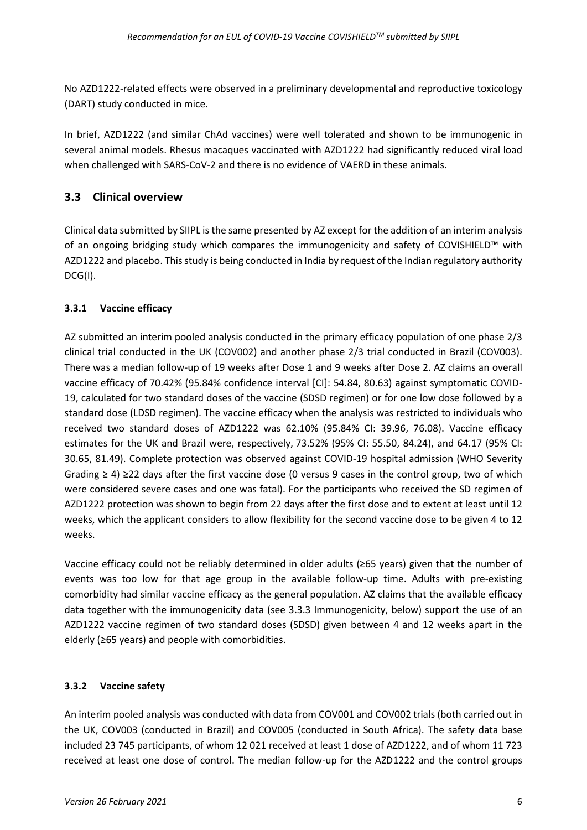No AZD1222-related effects were observed in a preliminary developmental and reproductive toxicology (DART) study conducted in mice.

In brief, AZD1222 (and similar ChAd vaccines) were well tolerated and shown to be immunogenic in several animal models. Rhesus macaques vaccinated with AZD1222 had significantly reduced viral load when challenged with SARS-CoV-2 and there is no evidence of VAERD in these animals.

# **3.3 Clinical overview**

Clinical data submitted by SIIPL is the same presented by AZ except for the addition of an interim analysis of an ongoing bridging study which compares the immunogenicity and safety of COVISHIELD™ with AZD1222 and placebo. This study is being conducted in India by request of the Indian regulatory authority DCG(I).

## **3.3.1 Vaccine efficacy**

AZ submitted an interim pooled analysis conducted in the primary efficacy population of one phase 2/3 clinical trial conducted in the UK (COV002) and another phase 2/3 trial conducted in Brazil (COV003). There was a median follow-up of 19 weeks after Dose 1 and 9 weeks after Dose 2. AZ claims an overall vaccine efficacy of 70.42% (95.84% confidence interval [CI]: 54.84, 80.63) against symptomatic COVID-19, calculated for two standard doses of the vaccine (SDSD regimen) or for one low dose followed by a standard dose (LDSD regimen). The vaccine efficacy when the analysis was restricted to individuals who received two standard doses of AZD1222 was 62.10% (95.84% CI: 39.96, 76.08). Vaccine efficacy estimates for the UK and Brazil were, respectively, 73.52% (95% CI: 55.50, 84.24), and 64.17 (95% CI: 30.65, 81.49). Complete protection was observed against COVID-19 hospital admission (WHO Severity Grading ≥ 4) ≥22 days after the first vaccine dose (0 versus 9 cases in the control group, two of which were considered severe cases and one was fatal). For the participants who received the SD regimen of AZD1222 protection was shown to begin from 22 days after the first dose and to extent at least until 12 weeks, which the applicant considers to allow flexibility for the second vaccine dose to be given 4 to 12 weeks.

Vaccine efficacy could not be reliably determined in older adults (≥65 years) given that the number of events was too low for that age group in the available follow-up time. Adults with pre-existing comorbidity had similar vaccine efficacy as the general population. AZ claims that the available efficacy data together with the immunogenicity data (see 3.3.3 Immunogenicity, below) support the use of an AZD1222 vaccine regimen of two standard doses (SDSD) given between 4 and 12 weeks apart in the elderly (≥65 years) and people with comorbidities.

## **3.3.2 Vaccine safety**

An interim pooled analysis was conducted with data from COV001 and COV002 trials (both carried out in the UK, COV003 (conducted in Brazil) and COV005 (conducted in South Africa). The safety data base included 23 745 participants, of whom 12 021 received at least 1 dose of AZD1222, and of whom 11 723 received at least one dose of control. The median follow-up for the AZD1222 and the control groups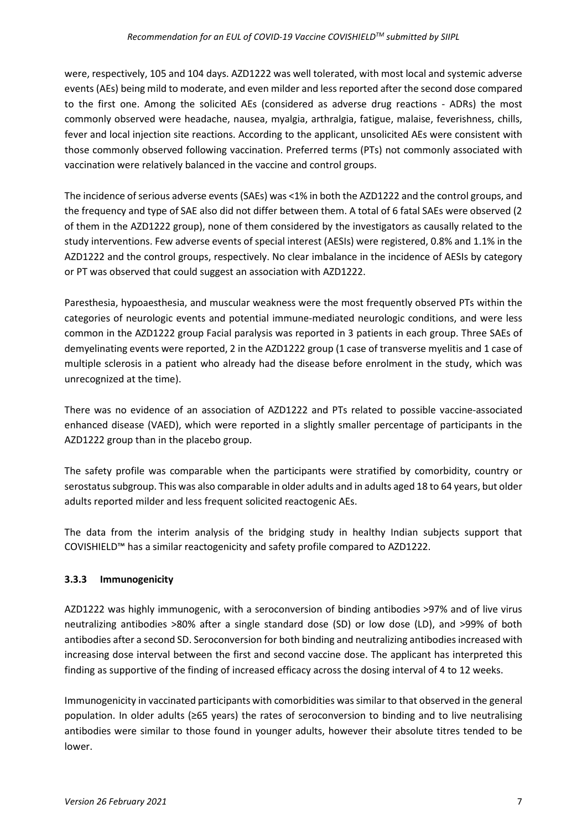were, respectively, 105 and 104 days. AZD1222 was well tolerated, with most local and systemic adverse events (AEs) being mild to moderate, and even milder and less reported after the second dose compared to the first one. Among the solicited AEs (considered as adverse drug reactions - ADRs) the most commonly observed were headache, nausea, myalgia, arthralgia, fatigue, malaise, feverishness, chills, fever and local injection site reactions. According to the applicant, unsolicited AEs were consistent with those commonly observed following vaccination. Preferred terms (PTs) not commonly associated with vaccination were relatively balanced in the vaccine and control groups.

The incidence of serious adverse events (SAEs) was <1% in both the AZD1222 and the control groups, and the frequency and type of SAE also did not differ between them. A total of 6 fatal SAEs were observed (2 of them in the AZD1222 group), none of them considered by the investigators as causally related to the study interventions. Few adverse events of special interest (AESIs) were registered, 0.8% and 1.1% in the AZD1222 and the control groups, respectively. No clear imbalance in the incidence of AESIs by category or PT was observed that could suggest an association with AZD1222.

Paresthesia, hypoaesthesia, and muscular weakness were the most frequently observed PTs within the categories of neurologic events and potential immune-mediated neurologic conditions, and were less common in the AZD1222 group Facial paralysis was reported in 3 patients in each group. Three SAEs of demyelinating events were reported, 2 in the AZD1222 group (1 case of transverse myelitis and 1 case of multiple sclerosis in a patient who already had the disease before enrolment in the study, which was unrecognized at the time).

There was no evidence of an association of AZD1222 and PTs related to possible vaccine-associated enhanced disease (VAED), which were reported in a slightly smaller percentage of participants in the AZD1222 group than in the placebo group.

The safety profile was comparable when the participants were stratified by comorbidity, country or serostatus subgroup. This was also comparable in older adults and in adults aged 18 to 64 years, but older adults reported milder and less frequent solicited reactogenic AEs.

The data from the interim analysis of the bridging study in healthy Indian subjects support that COVISHIELD™ has a similar reactogenicity and safety profile compared to AZD1222.

## **3.3.3 Immunogenicity**

AZD1222 was highly immunogenic, with a seroconversion of binding antibodies >97% and of live virus neutralizing antibodies >80% after a single standard dose (SD) or low dose (LD), and >99% of both antibodies after a second SD. Seroconversion for both binding and neutralizing antibodies increased with increasing dose interval between the first and second vaccine dose. The applicant has interpreted this finding as supportive of the finding of increased efficacy across the dosing interval of 4 to 12 weeks.

Immunogenicity in vaccinated participants with comorbidities was similar to that observed in the general population. In older adults (≥65 years) the rates of seroconversion to binding and to live neutralising antibodies were similar to those found in younger adults, however their absolute titres tended to be lower.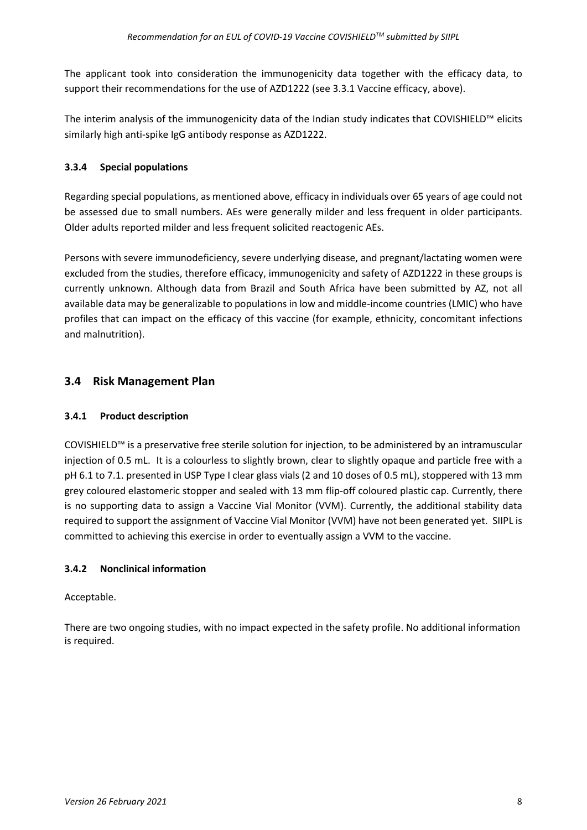The applicant took into consideration the immunogenicity data together with the efficacy data, to support their recommendations for the use of AZD1222 (see 3.3.1 Vaccine efficacy, above).

The interim analysis of the immunogenicity data of the Indian study indicates that COVISHIELD™ elicits similarly high anti-spike IgG antibody response as AZD1222.

### **3.3.4 Special populations**

Regarding special populations, as mentioned above, efficacy in individuals over 65 years of age could not be assessed due to small numbers. AEs were generally milder and less frequent in older participants. Older adults reported milder and less frequent solicited reactogenic AEs.

Persons with severe immunodeficiency, severe underlying disease, and pregnant/lactating women were excluded from the studies, therefore efficacy, immunogenicity and safety of AZD1222 in these groups is currently unknown. Although data from Brazil and South Africa have been submitted by AZ, not all available data may be generalizable to populations in low and middle-income countries (LMIC) who have profiles that can impact on the efficacy of this vaccine (for example, ethnicity, concomitant infections and malnutrition).

## **3.4 Risk Management Plan**

#### **3.4.1 Product description**

COVISHIELD™ is a preservative free sterile solution for injection, to be administered by an intramuscular injection of 0.5 mL. It is a colourless to slightly brown, clear to slightly opaque and particle free with a pH 6.1 to 7.1. presented in USP Type I clear glass vials (2 and 10 doses of 0.5 mL), stoppered with 13 mm grey coloured elastomeric stopper and sealed with 13 mm flip-off coloured plastic cap. Currently, there is no supporting data to assign a Vaccine Vial Monitor (VVM). Currently, the additional stability data required to support the assignment of Vaccine Vial Monitor (VVM) have not been generated yet. SIIPL is committed to achieving this exercise in order to eventually assign a VVM to the vaccine.

#### **3.4.2 Nonclinical information**

#### Acceptable.

There are two ongoing studies, with no impact expected in the safety profile. No additional information is required.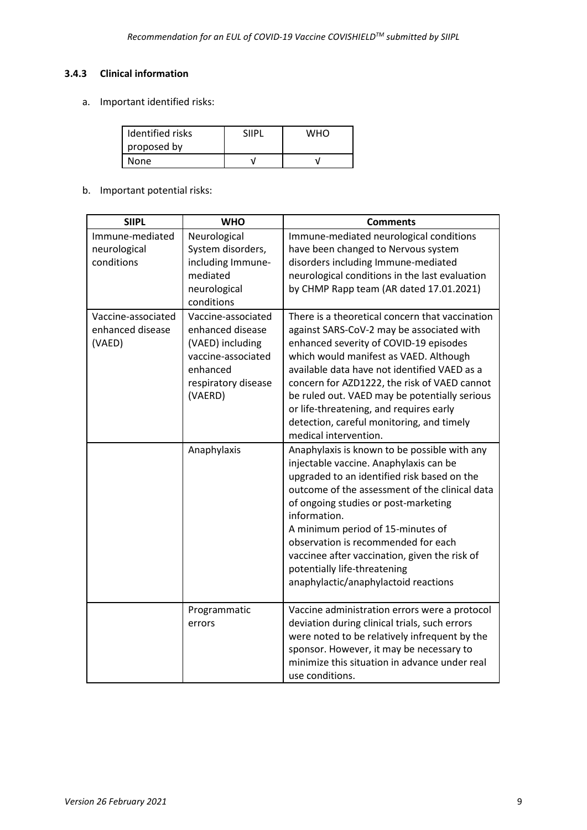### **3.4.3 Clinical information**

a. Important identified risks:

| Identified risks | <b>SIIPL</b> | who |
|------------------|--------------|-----|
| proposed by      |              |     |
| None             |              |     |

b. Important potential risks:

| <b>SIIPL</b>                                     | <b>WHO</b>                                                                                                                     | <b>Comments</b>                                                                                                                                                                                                                                                                                                                                                                                                                                      |
|--------------------------------------------------|--------------------------------------------------------------------------------------------------------------------------------|------------------------------------------------------------------------------------------------------------------------------------------------------------------------------------------------------------------------------------------------------------------------------------------------------------------------------------------------------------------------------------------------------------------------------------------------------|
| Immune-mediated<br>neurological<br>conditions    | Neurological<br>System disorders,<br>including Immune-<br>mediated<br>neurological<br>conditions                               | Immune-mediated neurological conditions<br>have been changed to Nervous system<br>disorders including Immune-mediated<br>neurological conditions in the last evaluation<br>by CHMP Rapp team (AR dated 17.01.2021)                                                                                                                                                                                                                                   |
| Vaccine-associated<br>enhanced disease<br>(VAED) | Vaccine-associated<br>enhanced disease<br>(VAED) including<br>vaccine-associated<br>enhanced<br>respiratory disease<br>(VAERD) | There is a theoretical concern that vaccination<br>against SARS-CoV-2 may be associated with<br>enhanced severity of COVID-19 episodes<br>which would manifest as VAED. Although<br>available data have not identified VAED as a<br>concern for AZD1222, the risk of VAED cannot<br>be ruled out. VAED may be potentially serious<br>or life-threatening, and requires early<br>detection, careful monitoring, and timely<br>medical intervention.   |
|                                                  | Anaphylaxis                                                                                                                    | Anaphylaxis is known to be possible with any<br>injectable vaccine. Anaphylaxis can be<br>upgraded to an identified risk based on the<br>outcome of the assessment of the clinical data<br>of ongoing studies or post-marketing<br>information.<br>A minimum period of 15-minutes of<br>observation is recommended for each<br>vaccinee after vaccination, given the risk of<br>potentially life-threatening<br>anaphylactic/anaphylactoid reactions |
|                                                  | Programmatic<br>errors                                                                                                         | Vaccine administration errors were a protocol<br>deviation during clinical trials, such errors<br>were noted to be relatively infrequent by the<br>sponsor. However, it may be necessary to<br>minimize this situation in advance under real<br>use conditions.                                                                                                                                                                                      |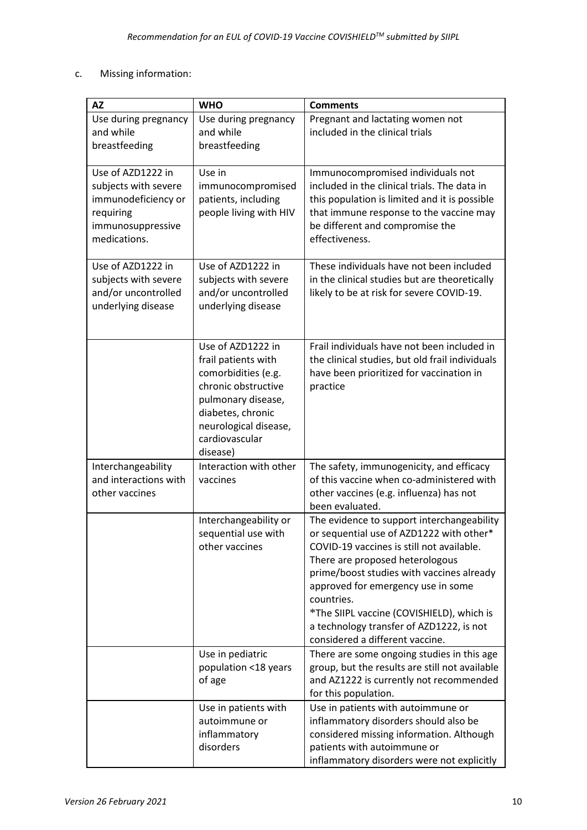## c. Missing information:

| <b>AZ</b>                                                                                                          | <b>WHO</b>                                                                                                                                                                               | <b>Comments</b>                                                                                                                                                                                                                                                                                                                                                                                     |
|--------------------------------------------------------------------------------------------------------------------|------------------------------------------------------------------------------------------------------------------------------------------------------------------------------------------|-----------------------------------------------------------------------------------------------------------------------------------------------------------------------------------------------------------------------------------------------------------------------------------------------------------------------------------------------------------------------------------------------------|
| Use during pregnancy<br>and while<br>breastfeeding                                                                 | Use during pregnancy<br>and while<br>breastfeeding                                                                                                                                       | Pregnant and lactating women not<br>included in the clinical trials                                                                                                                                                                                                                                                                                                                                 |
| Use of AZD1222 in<br>subjects with severe<br>immunodeficiency or<br>requiring<br>immunosuppressive<br>medications. | Use in<br>immunocompromised<br>patients, including<br>people living with HIV                                                                                                             | Immunocompromised individuals not<br>included in the clinical trials. The data in<br>this population is limited and it is possible<br>that immune response to the vaccine may<br>be different and compromise the<br>effectiveness.                                                                                                                                                                  |
| Use of AZD1222 in<br>subjects with severe<br>and/or uncontrolled<br>underlying disease                             | Use of AZD1222 in<br>subjects with severe<br>and/or uncontrolled<br>underlying disease                                                                                                   | These individuals have not been included<br>in the clinical studies but are theoretically<br>likely to be at risk for severe COVID-19.                                                                                                                                                                                                                                                              |
|                                                                                                                    | Use of AZD1222 in<br>frail patients with<br>comorbidities (e.g.<br>chronic obstructive<br>pulmonary disease,<br>diabetes, chronic<br>neurological disease,<br>cardiovascular<br>disease) | Frail individuals have not been included in<br>the clinical studies, but old frail individuals<br>have been prioritized for vaccination in<br>practice                                                                                                                                                                                                                                              |
| Interchangeability<br>and interactions with<br>other vaccines                                                      | Interaction with other<br>vaccines                                                                                                                                                       | The safety, immunogenicity, and efficacy<br>of this vaccine when co-administered with<br>other vaccines (e.g. influenza) has not<br>been evaluated.                                                                                                                                                                                                                                                 |
|                                                                                                                    | Interchangeability or<br>sequential use with<br>other vaccines                                                                                                                           | The evidence to support interchangeability<br>or sequential use of AZD1222 with other*<br>COVID-19 vaccines is still not available.<br>There are proposed heterologous<br>prime/boost studies with vaccines already<br>approved for emergency use in some<br>countries.<br>*The SIIPL vaccine (COVISHIELD), which is<br>a technology transfer of AZD1222, is not<br>considered a different vaccine. |
|                                                                                                                    | Use in pediatric<br>population <18 years<br>of age                                                                                                                                       | There are some ongoing studies in this age<br>group, but the results are still not available<br>and AZ1222 is currently not recommended<br>for this population.                                                                                                                                                                                                                                     |
|                                                                                                                    | Use in patients with<br>autoimmune or<br>inflammatory<br>disorders                                                                                                                       | Use in patients with autoimmune or<br>inflammatory disorders should also be<br>considered missing information. Although<br>patients with autoimmune or<br>inflammatory disorders were not explicitly                                                                                                                                                                                                |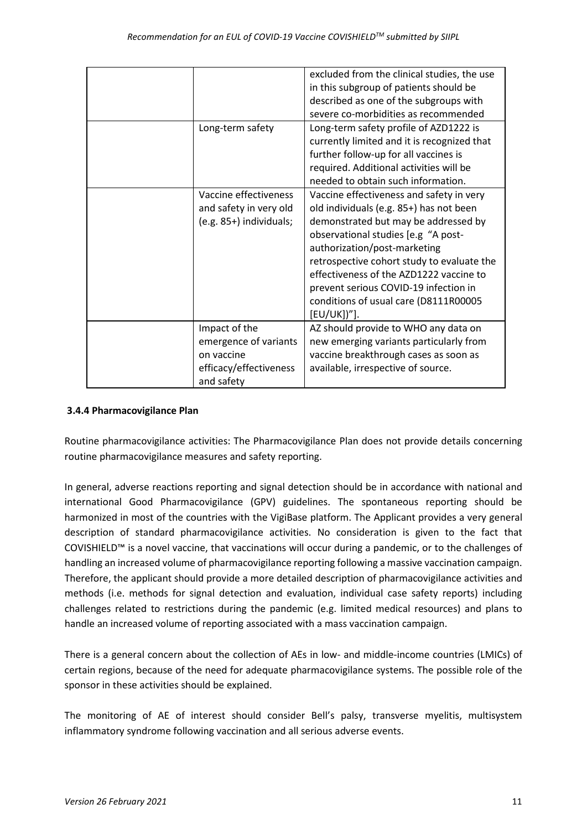|                         | excluded from the clinical studies, the use |
|-------------------------|---------------------------------------------|
|                         | in this subgroup of patients should be      |
|                         | described as one of the subgroups with      |
|                         | severe co-morbidities as recommended        |
| Long-term safety        | Long-term safety profile of AZD1222 is      |
|                         | currently limited and it is recognized that |
|                         | further follow-up for all vaccines is       |
|                         | required. Additional activities will be     |
|                         | needed to obtain such information.          |
| Vaccine effectiveness   | Vaccine effectiveness and safety in very    |
| and safety in very old  | old individuals (e.g. 85+) has not been     |
| (e.g. 85+) individuals; | demonstrated but may be addressed by        |
|                         | observational studies [e.g "A post-         |
|                         | authorization/post-marketing                |
|                         | retrospective cohort study to evaluate the  |
|                         | effectiveness of the AZD1222 vaccine to     |
|                         | prevent serious COVID-19 infection in       |
|                         | conditions of usual care (D8111R00005       |
|                         | [EU/UK])"].                                 |
| Impact of the           | AZ should provide to WHO any data on        |
| emergence of variants   | new emerging variants particularly from     |
| on vaccine              | vaccine breakthrough cases as soon as       |
| efficacy/effectiveness  | available, irrespective of source.          |
| and safety              |                                             |

### **3.4.4 Pharmacovigilance Plan**

Routine pharmacovigilance activities: The Pharmacovigilance Plan does not provide details concerning routine pharmacovigilance measures and safety reporting.

In general, adverse reactions reporting and signal detection should be in accordance with national and international Good Pharmacovigilance (GPV) guidelines. The spontaneous reporting should be harmonized in most of the countries with the VigiBase platform. The Applicant provides a very general description of standard pharmacovigilance activities. No consideration is given to the fact that COVISHIELD™ is a novel vaccine, that vaccinations will occur during a pandemic, or to the challenges of handling an increased volume of pharmacovigilance reporting following a massive vaccination campaign. Therefore, the applicant should provide a more detailed description of pharmacovigilance activities and methods (i.e. methods for signal detection and evaluation, individual case safety reports) including challenges related to restrictions during the pandemic (e.g. limited medical resources) and plans to handle an increased volume of reporting associated with a mass vaccination campaign.

There is a general concern about the collection of AEs in low- and middle-income countries (LMICs) of certain regions, because of the need for adequate pharmacovigilance systems. The possible role of the sponsor in these activities should be explained.

The monitoring of AE of interest should consider Bell's palsy, transverse myelitis, multisystem inflammatory syndrome following vaccination and all serious adverse events.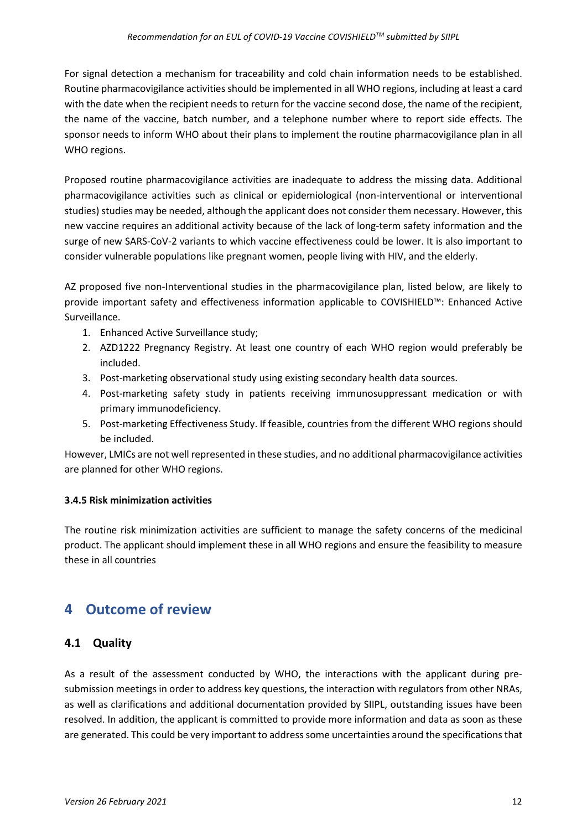For signal detection a mechanism for traceability and cold chain information needs to be established. Routine pharmacovigilance activities should be implemented in all WHO regions, including at least a card with the date when the recipient needs to return for the vaccine second dose, the name of the recipient, the name of the vaccine, batch number, and a telephone number where to report side effects. The sponsor needs to inform WHO about their plans to implement the routine pharmacovigilance plan in all WHO regions.

Proposed routine pharmacovigilance activities are inadequate to address the missing data. Additional pharmacovigilance activities such as clinical or epidemiological (non-interventional or interventional studies) studies may be needed, although the applicant does not consider them necessary. However, this new vaccine requires an additional activity because of the lack of long-term safety information and the surge of new SARS-CoV-2 variants to which vaccine effectiveness could be lower. It is also important to consider vulnerable populations like pregnant women, people living with HIV, and the elderly.

AZ proposed five non-Interventional studies in the pharmacovigilance plan, listed below, are likely to provide important safety and effectiveness information applicable to COVISHIELD™: Enhanced Active Surveillance.

- 1. Enhanced Active Surveillance study;
- 2. AZD1222 Pregnancy Registry. At least one country of each WHO region would preferably be included.
- 3. Post-marketing observational study using existing secondary health data sources.
- 4. Post-marketing safety study in patients receiving immunosuppressant medication or with primary immunodeficiency.
- 5. Post-marketing Effectiveness Study. If feasible, countries from the different WHO regions should be included.

However, LMICs are not well represented in these studies, and no additional pharmacovigilance activities are planned for other WHO regions.

#### **3.4.5 Risk minimization activities**

The routine risk minimization activities are sufficient to manage the safety concerns of the medicinal product. The applicant should implement these in all WHO regions and ensure the feasibility to measure these in all countries

# **4 Outcome of review**

## **4.1 Quality**

As a result of the assessment conducted by WHO, the interactions with the applicant during presubmission meetings in order to address key questions, the interaction with regulators from other NRAs, as well as clarifications and additional documentation provided by SIIPL, outstanding issues have been resolved. In addition, the applicant is committed to provide more information and data as soon as these are generated. This could be very important to address some uncertainties around the specifications that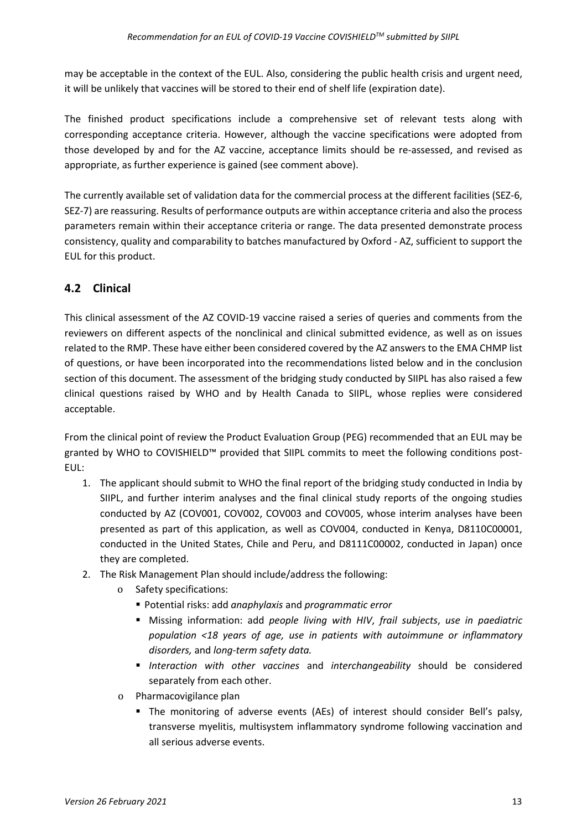may be acceptable in the context of the EUL. Also, considering the public health crisis and urgent need, it will be unlikely that vaccines will be stored to their end of shelf life (expiration date).

The finished product specifications include a comprehensive set of relevant tests along with corresponding acceptance criteria. However, although the vaccine specifications were adopted from those developed by and for the AZ vaccine, acceptance limits should be re-assessed, and revised as appropriate, as further experience is gained (see comment above).

The currently available set of validation data for the commercial process at the different facilities (SEZ-6, SEZ-7) are reassuring. Results of performance outputs are within acceptance criteria and also the process parameters remain within their acceptance criteria or range. The data presented demonstrate process consistency, quality and comparability to batches manufactured by Oxford - AZ, sufficient to support the EUL for this product.

# **4.2 Clinical**

This clinical assessment of the AZ COVID-19 vaccine raised a series of queries and comments from the reviewers on different aspects of the nonclinical and clinical submitted evidence, as well as on issues related to the RMP. These have either been considered covered by the AZ answers to the EMA CHMP list of questions, or have been incorporated into the recommendations listed below and in the conclusion section of this document. The assessment of the bridging study conducted by SIIPL has also raised a few clinical questions raised by WHO and by Health Canada to SIIPL, whose replies were considered acceptable.

From the clinical point of review the Product Evaluation Group (PEG) recommended that an EUL may be granted by WHO to COVISHIELD™ provided that SIIPL commits to meet the following conditions post-EUL:

- 1. The applicant should submit to WHO the final report of the bridging study conducted in India by SIIPL, and further interim analyses and the final clinical study reports of the ongoing studies conducted by AZ (COV001, COV002, COV003 and COV005, whose interim analyses have been presented as part of this application, as well as COV004, conducted in Kenya, D8110C00001, conducted in the United States, Chile and Peru, and D8111C00002, conducted in Japan) once they are completed.
- 2. The Risk Management Plan should include/address the following:
	- o Safety specifications:
		- Potential risks: add *anaphylaxis* and *programmatic error*
		- Missing information: add *people living with HIV*, *frail subjects*, *use in paediatric population <18 years of age, use in patients with autoimmune or inflammatory disorders,* and *long-term safety data.*
		- *Interaction with other vaccines* and *interchangeability* should be considered separately from each other.
	- o Pharmacovigilance plan
		- The monitoring of adverse events (AEs) of interest should consider Bell's palsy, transverse myelitis, multisystem inflammatory syndrome following vaccination and all serious adverse events.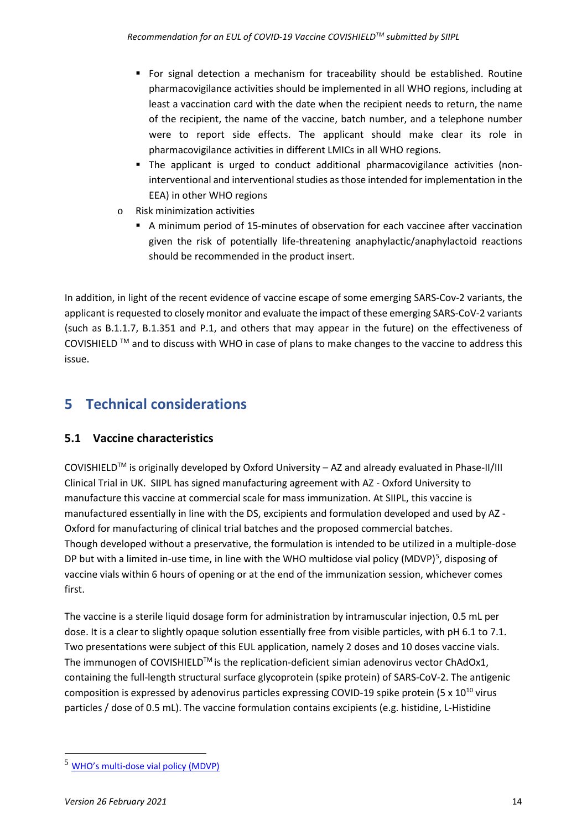- For signal detection a mechanism for traceability should be established. Routine pharmacovigilance activities should be implemented in all WHO regions, including at least a vaccination card with the date when the recipient needs to return, the name of the recipient, the name of the vaccine, batch number, and a telephone number were to report side effects. The applicant should make clear its role in pharmacovigilance activities in different LMICs in all WHO regions.
- The applicant is urged to conduct additional pharmacovigilance activities (noninterventional and interventional studies as those intended for implementation in the EEA) in other WHO regions
- o Risk minimization activities
	- A minimum period of 15-minutes of observation for each vaccinee after vaccination given the risk of potentially life-threatening anaphylactic/anaphylactoid reactions should be recommended in the product insert.

In addition, in light of the recent evidence of vaccine escape of some emerging SARS-Cov-2 variants, the applicant is requested to closely monitor and evaluate the impact of these emerging SARS-CoV-2 variants (such as B.1.1.7, B.1.351 and P.1, and others that may appear in the future) on the effectiveness of COVISHIELD TM and to discuss with WHO in case of plans to make changes to the vaccine to address this issue.

# **5 Technical considerations**

## **5.1 Vaccine characteristics**

COVISHIELD<sup>TM</sup> is originally developed by Oxford University  $-$  AZ and already evaluated in Phase-II/III Clinical Trial in UK. SIIPL has signed manufacturing agreement with AZ - Oxford University to manufacture this vaccine at commercial scale for mass immunization. At SIIPL, this vaccine is manufactured essentially in line with the DS, excipients and formulation developed and used by AZ - Oxford for manufacturing of clinical trial batches and the proposed commercial batches. Though developed without a preservative, the formulation is intended to be utilized in a multiple-dose DP but with a limited in-use time, in line with the WHO multidose vial policy (MDVP)<sup>[5](#page-13-0)</sup>, disposing of vaccine vials within 6 hours of opening or at the end of the immunization session, whichever comes first.

The vaccine is a sterile liquid dosage form for administration by intramuscular injection, 0.5 mL per dose. It is a clear to slightly opaque solution essentially free from visible particles, with pH 6.1 to 7.1. Two presentations were subject of this EUL application, namely 2 doses and 10 doses vaccine vials. The immunogen of COVISHIELD™ is the replication-deficient simian adenovirus vector ChAdOx1, containing the full-length structural surface glycoprotein (spike protein) of SARS-CoV-2. The antigenic composition is expressed by adenovirus particles expressing COVID-19 spike protein (5  $\times$  10<sup>10</sup> virus particles / dose of 0.5 mL). The vaccine formulation contains excipients (e.g. histidine, L-Histidine

<span id="page-13-0"></span><sup>5</sup> [WHO's multi-dose vial policy \(MDVP\)](https://apps.who.int/iris/bitstream/handle/10665/135972/WHO_IVB_14.07_eng.pdf.?sequence=1)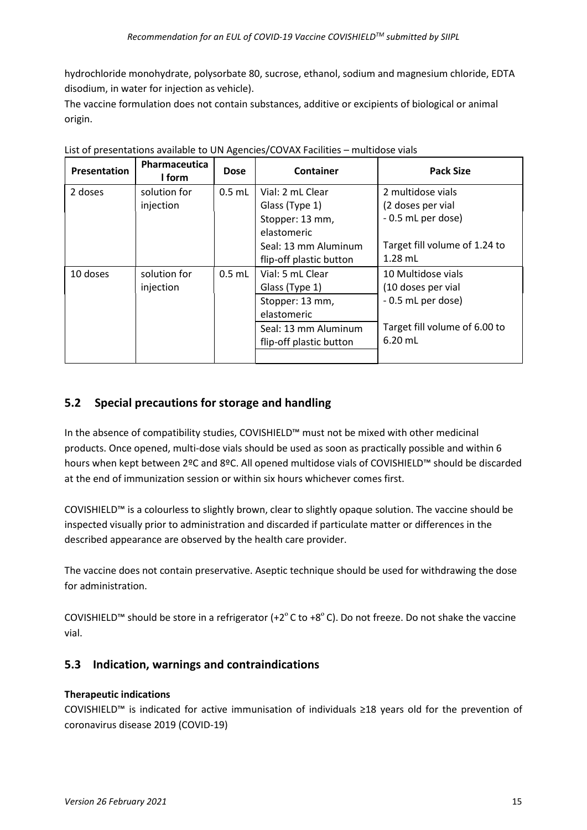hydrochloride monohydrate, polysorbate 80, sucrose, ethanol, sodium and magnesium chloride, EDTA disodium, in water for injection as vehicle).

The vaccine formulation does not contain substances, additive or excipients of biological or animal origin.

| Presentation | Pharmaceutica<br>I form | <b>Dose</b> | Container                                       | <b>Pack Size</b>                           |
|--------------|-------------------------|-------------|-------------------------------------------------|--------------------------------------------|
| 2 doses      | solution for            | $0.5$ mL    | Vial: 2 mL Clear                                | 2 multidose vials                          |
|              | injection               |             | Glass (Type 1)                                  | (2 doses per vial                          |
|              |                         |             | Stopper: 13 mm,                                 | - 0.5 mL per dose)                         |
|              |                         |             | elastomeric                                     |                                            |
|              |                         |             | Seal: 13 mm Aluminum                            | Target fill volume of 1.24 to              |
|              |                         |             | flip-off plastic button                         | $1.28$ mL                                  |
| 10 doses     | solution for            | $0.5$ mL    | Vial: 5 mL Clear                                | 10 Multidose vials                         |
|              | injection               |             | Glass (Type 1)                                  | (10 doses per vial                         |
|              |                         |             | Stopper: 13 mm,<br>elastomeric                  | - 0.5 mL per dose)                         |
|              |                         |             | Seal: 13 mm Aluminum<br>flip-off plastic button | Target fill volume of 6.00 to<br>$6.20$ mL |
|              |                         |             |                                                 |                                            |

List of presentations available to UN Agencies/COVAX Facilities – multidose vials

# **5.2 Special precautions for storage and handling**

In the absence of compatibility studies, COVISHIELD™ must not be mixed with other medicinal products. Once opened, multi-dose vials should be used as soon as practically possible and within 6 hours when kept between 2ºC and 8ºC. All opened multidose vials of COVISHIELD™ should be discarded at the end of immunization session or within six hours whichever comes first.

COVISHIELD™ is a colourless to slightly brown, clear to slightly opaque solution. The vaccine should be inspected visually prior to administration and discarded if particulate matter or differences in the described appearance are observed by the health care provider.

The vaccine does not contain preservative. Aseptic technique should be used for withdrawing the dose for administration.

COVISHIELD™ should be store in a refrigerator (+2 $^{\circ}$ C to +8 $^{\circ}$ C). Do not freeze. Do not shake the vaccine vial.

# **5.3 Indication, warnings and contraindications**

## **Therapeutic indications**

COVISHIELD™ is indicated for active immunisation of individuals ≥18 years old for the prevention of coronavirus disease 2019 (COVID-19)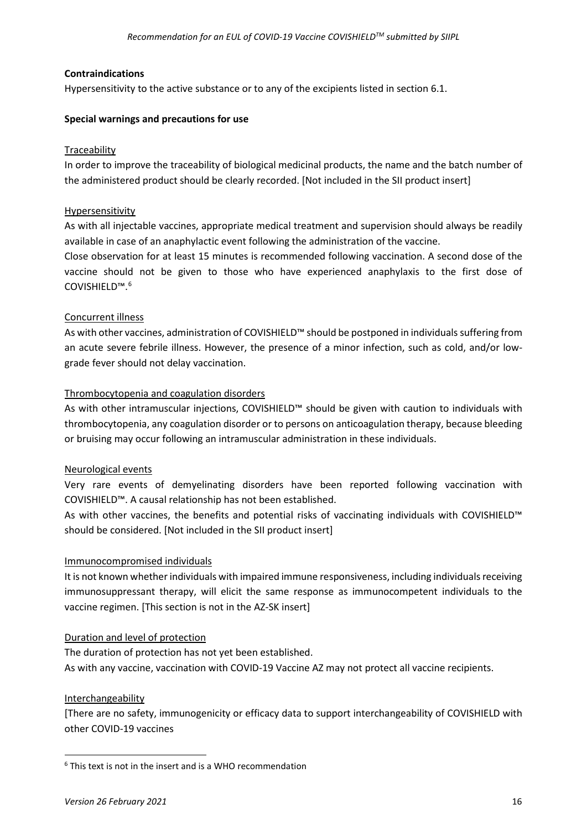#### **Contraindications**

Hypersensitivity to the active substance or to any of the excipients listed in section 6.1.

#### **Special warnings and precautions for use**

#### **Traceability**

In order to improve the traceability of biological medicinal products, the name and the batch number of the administered product should be clearly recorded. [Not included in the SII product insert]

#### Hypersensitivity

As with all injectable vaccines, appropriate medical treatment and supervision should always be readily available in case of an anaphylactic event following the administration of the vaccine.

Close observation for at least 15 minutes is recommended following vaccination. A second dose of the vaccine should not be given to those who have experienced anaphylaxis to the first dose of COVISHIELD™. [6](#page-15-0)

#### Concurrent illness

As with other vaccines, administration of COVISHIELD™ should be postponed in individuals suffering from an acute severe febrile illness. However, the presence of a minor infection, such as cold, and/or lowgrade fever should not delay vaccination.

#### Thrombocytopenia and coagulation disorders

As with other intramuscular injections, COVISHIELD™ should be given with caution to individuals with thrombocytopenia, any coagulation disorder or to persons on anticoagulation therapy, because bleeding or bruising may occur following an intramuscular administration in these individuals.

#### Neurological events

Very rare events of demyelinating disorders have been reported following vaccination with COVISHIELD™. A causal relationship has not been established.

As with other vaccines, the benefits and potential risks of vaccinating individuals with COVISHIELD™ should be considered. [Not included in the SII product insert]

#### Immunocompromised individuals

It is not known whether individuals with impaired immune responsiveness, including individuals receiving immunosuppressant therapy, will elicit the same response as immunocompetent individuals to the vaccine regimen. [This section is not in the AZ-SK insert]

#### Duration and level of protection

The duration of protection has not yet been established. As with any vaccine, vaccination with COVID-19 Vaccine AZ may not protect all vaccine recipients.

#### Interchangeability

[There are no safety, immunogenicity or efficacy data to support interchangeability of COVISHIELD with other COVID-19 vaccines

<span id="page-15-0"></span> $6$  This text is not in the insert and is a WHO recommendation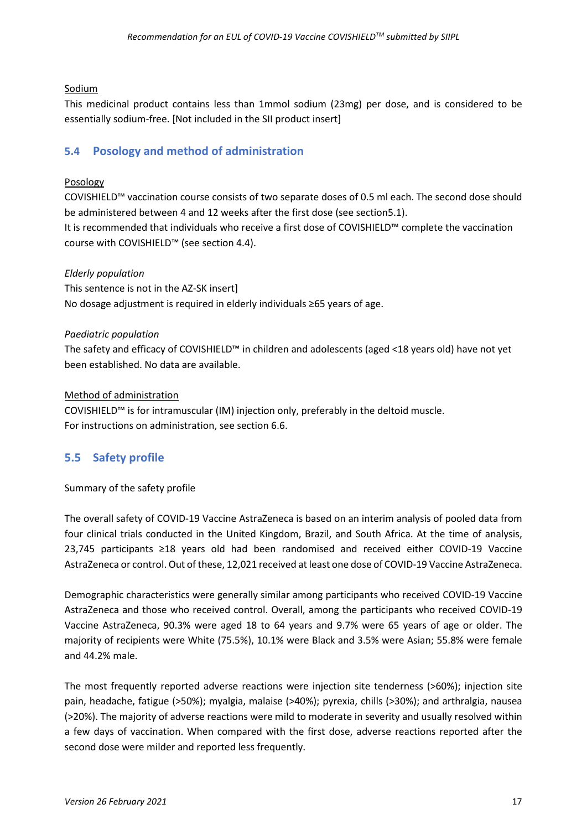#### Sodium

This medicinal product contains less than 1mmol sodium (23mg) per dose, and is considered to be essentially sodium-free. [Not included in the SII product insert]

### **5.4 Posology and method of administration**

#### Posology

COVISHIELD™ vaccination course consists of two separate doses of 0.5 ml each. The second dose should be administered between 4 and 12 weeks after the first dose (see section5.1). It is recommended that individuals who receive a first dose of COVISHIELD™ complete the vaccination course with COVISHIELD™ (see section 4.4).

#### *Elderly population*

This sentence is not in the AZ-SK insert] No dosage adjustment is required in elderly individuals ≥65 years of age.

#### *Paediatric population*

The safety and efficacy of COVISHIELD™ in children and adolescents (aged <18 years old) have not yet been established. No data are available.

#### Method of administration

COVISHIELD™ is for intramuscular (IM) injection only, preferably in the deltoid muscle. For instructions on administration, see section 6.6.

## **5.5 Safety profile**

#### Summary of the safety profile

The overall safety of COVID-19 Vaccine AstraZeneca is based on an interim analysis of pooled data from four clinical trials conducted in the United Kingdom, Brazil, and South Africa. At the time of analysis, 23,745 participants ≥18 years old had been randomised and received either COVID-19 Vaccine AstraZeneca or control. Out of these, 12,021 received at least one dose of COVID-19 Vaccine AstraZeneca.

Demographic characteristics were generally similar among participants who received COVID-19 Vaccine AstraZeneca and those who received control. Overall, among the participants who received COVID-19 Vaccine AstraZeneca, 90.3% were aged 18 to 64 years and 9.7% were 65 years of age or older. The majority of recipients were White (75.5%), 10.1% were Black and 3.5% were Asian; 55.8% were female and 44.2% male.

The most frequently reported adverse reactions were injection site tenderness (>60%); injection site pain, headache, fatigue (>50%); myalgia, malaise (>40%); pyrexia, chills (>30%); and arthralgia, nausea (>20%). The majority of adverse reactions were mild to moderate in severity and usually resolved within a few days of vaccination. When compared with the first dose, adverse reactions reported after the second dose were milder and reported less frequently.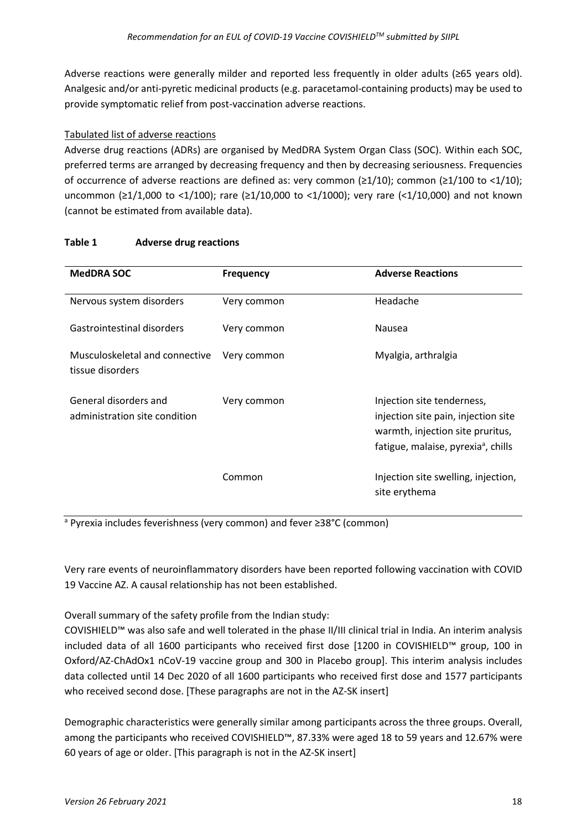Adverse reactions were generally milder and reported less frequently in older adults (≥65 years old). Analgesic and/or anti-pyretic medicinal products (e.g. paracetamol-containing products) may be used to provide symptomatic relief from post-vaccination adverse reactions.

### Tabulated list of adverse reactions

Adverse drug reactions (ADRs) are organised by MedDRA System Organ Class (SOC). Within each SOC, preferred terms are arranged by decreasing frequency and then by decreasing seriousness. Frequencies of occurrence of adverse reactions are defined as: very common (≥1/10); common (≥1/100 to <1/10); uncommon (≥1/1,000 to <1/100); rare (≥1/10,000 to <1/1000); very rare (<1/10,000) and not known (cannot be estimated from available data).

#### **Table 1 Adverse drug reactions**

| <b>MedDRA SOC</b>                                      | <b>Frequency</b> | <b>Adverse Reactions</b>                                                                                                                                 |
|--------------------------------------------------------|------------------|----------------------------------------------------------------------------------------------------------------------------------------------------------|
| Nervous system disorders                               | Very common      | Headache                                                                                                                                                 |
| Gastrointestinal disorders                             | Very common      | Nausea                                                                                                                                                   |
| Musculoskeletal and connective<br>tissue disorders     | Very common      | Myalgia, arthralgia                                                                                                                                      |
| General disorders and<br>administration site condition | Very common      | Injection site tenderness,<br>injection site pain, injection site<br>warmth, injection site pruritus,<br>fatigue, malaise, pyrexia <sup>a</sup> , chills |
|                                                        | Common           | Injection site swelling, injection,<br>site erythema                                                                                                     |

<sup>a</sup> Pyrexia includes feverishness (very common) and fever ≥38°C (common)

Very rare events of neuroinflammatory disorders have been reported following vaccination with COVID 19 Vaccine AZ. A causal relationship has not been established.

Overall summary of the safety profile from the Indian study:

COVISHIELD™ was also safe and well tolerated in the phase II/III clinical trial in India. An interim analysis included data of all 1600 participants who received first dose [1200 in COVISHIELD™ group, 100 in Oxford/AZ-ChAdOx1 nCoV-19 vaccine group and 300 in Placebo group]. This interim analysis includes data collected until 14 Dec 2020 of all 1600 participants who received first dose and 1577 participants who received second dose. [These paragraphs are not in the AZ-SK insert]

Demographic characteristics were generally similar among participants across the three groups. Overall, among the participants who received COVISHIELD™, 87.33% were aged 18 to 59 years and 12.67% were 60 years of age or older. [This paragraph is not in the AZ-SK insert]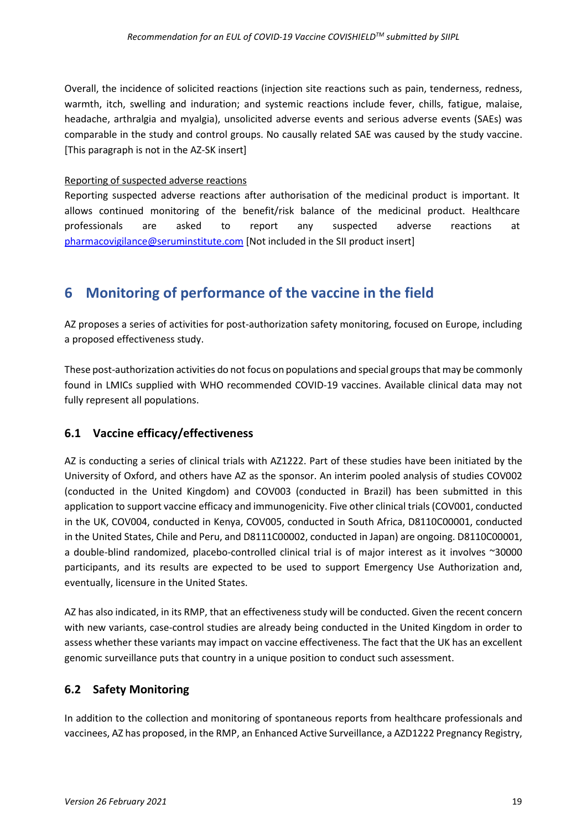Overall, the incidence of solicited reactions (injection site reactions such as pain, tenderness, redness, warmth, itch, swelling and induration; and systemic reactions include fever, chills, fatigue, malaise, headache, arthralgia and myalgia), unsolicited adverse events and serious adverse events (SAEs) was comparable in the study and control groups. No causally related SAE was caused by the study vaccine. [This paragraph is not in the AZ-SK insert]

#### Reporting of suspected adverse reactions

Reporting suspected adverse reactions after authorisation of the medicinal product is important. It allows continued monitoring of the benefit/risk balance of the medicinal product. Healthcare professionals are asked to report any suspected adverse reactions at [pharmacovigilance@seruminstitute.com](mailto:pharmacovigilance@seruminstitute.com) [Not included in the SII product insert]

# **6 Monitoring of performance of the vaccine in the field**

AZ proposes a series of activities for post-authorization safety monitoring, focused on Europe, including a proposed effectiveness study.

These post-authorization activities do not focus on populations and special groups that may be commonly found in LMICs supplied with WHO recommended COVID-19 vaccines. Available clinical data may not fully represent all populations.

# **6.1 Vaccine efficacy/effectiveness**

AZ is conducting a series of clinical trials with AZ1222. Part of these studies have been initiated by the University of Oxford, and others have AZ as the sponsor. An interim pooled analysis of studies COV002 (conducted in the United Kingdom) and COV003 (conducted in Brazil) has been submitted in this application to support vaccine efficacy and immunogenicity. Five other clinical trials (COV001, conducted in the UK, COV004, conducted in Kenya, COV005, conducted in South Africa, D8110C00001, conducted in the United States, Chile and Peru, and D8111C00002, conducted in Japan) are ongoing. D8110C00001, a double-blind randomized, placebo-controlled clinical trial is of major interest as it involves ~30000 participants, and its results are expected to be used to support Emergency Use Authorization and, eventually, licensure in the United States.

AZ has also indicated, in its RMP, that an effectiveness study will be conducted. Given the recent concern with new variants, case-control studies are already being conducted in the United Kingdom in order to assess whether these variants may impact on vaccine effectiveness. The fact that the UK has an excellent genomic surveillance puts that country in a unique position to conduct such assessment.

# **6.2 Safety Monitoring**

In addition to the collection and monitoring of spontaneous reports from healthcare professionals and vaccinees, AZ has proposed, in the RMP, an Enhanced Active Surveillance, a AZD1222 Pregnancy Registry,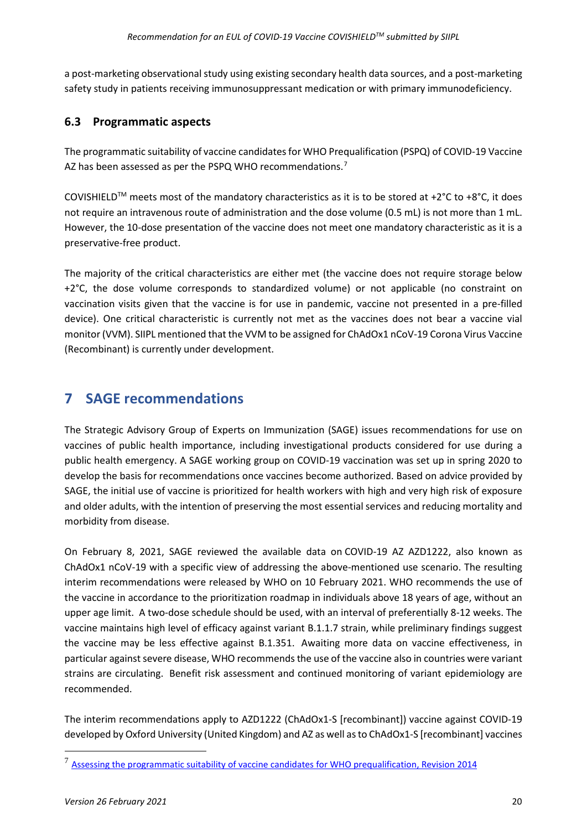a post-marketing observational study using existing secondary health data sources, and a post-marketing safety study in patients receiving immunosuppressant medication or with primary immunodeficiency.

## **6.3 Programmatic aspects**

The programmatic suitability of vaccine candidates for WHO Prequalification (PSPQ) of COVID-19 Vaccine AZ has been assessed as per the PSPQ WHO recommendations.<sup>[7](#page-19-0)</sup>

COVISHIELD<sup>TM</sup> meets most of the mandatory characteristics as it is to be stored at +2 $^{\circ}$ C to +8 $^{\circ}$ C, it does not require an intravenous route of administration and the dose volume (0.5 mL) is not more than 1 mL. However, the 10-dose presentation of the vaccine does not meet one mandatory characteristic as it is a preservative-free product.

The majority of the critical characteristics are either met (the vaccine does not require storage below +2°C, the dose volume corresponds to standardized volume) or not applicable (no constraint on vaccination visits given that the vaccine is for use in pandemic, vaccine not presented in a pre-filled device). One critical characteristic is currently not met as the vaccines does not bear a vaccine vial monitor (VVM). SIIPL mentioned that the VVM to be assigned for ChAdOx1 nCoV-19 Corona Virus Vaccine (Recombinant) is currently under development.

# **7 SAGE recommendations**

The Strategic Advisory Group of Experts on Immunization (SAGE) issues recommendations for use on vaccines of public health importance, including investigational products considered for use during a public health emergency. A SAGE working group on COVID-19 vaccination was set up in spring 2020 to develop the basis for recommendations once vaccines become authorized. Based on advice provided by SAGE, the initial use of vaccine is prioritized for health workers with high and very high risk of exposure and older adults, with the intention of preserving the most essential services and reducing mortality and morbidity from disease.

On February 8, 2021, SAGE reviewed the available data on COVID-19 AZ AZD1222, also known as ChAdOx1 nCoV-19 with a specific view of addressing the above-mentioned use scenario. The resulting interim recommendations were released by WHO on 10 February 2021. WHO recommends the use of the vaccine in accordance to the prioritization roadmap in individuals above 18 years of age, without an upper age limit. A two-dose schedule should be used, with an interval of preferentially 8-12 weeks. The vaccine maintains high level of efficacy against variant B.1.1.7 strain, while preliminary findings suggest the vaccine may be less effective against B.1.351. Awaiting more data on vaccine effectiveness, in particular against severe disease, WHO recommends the use of the vaccine also in countries were variant strains are circulating. Benefit risk assessment and continued monitoring of variant epidemiology are recommended.

The interim recommendations apply to AZD1222 (ChAdOx1-S [recombinant]) vaccine against COVID-19 developed by Oxford University (United Kingdom) and AZ as well as to ChAdOx1-S [recombinant] vaccines

<span id="page-19-0"></span><sup>&</sup>lt;sup>7</sup> [Assessing the programmatic suitability of vaccine candidates for WHO prequalification, Revision 2014](https://apps.who.int/iris/bitstream/handle/10665/148168/WHO_IVB_14.10_eng.pdf?sequence=1&isAllowed=y)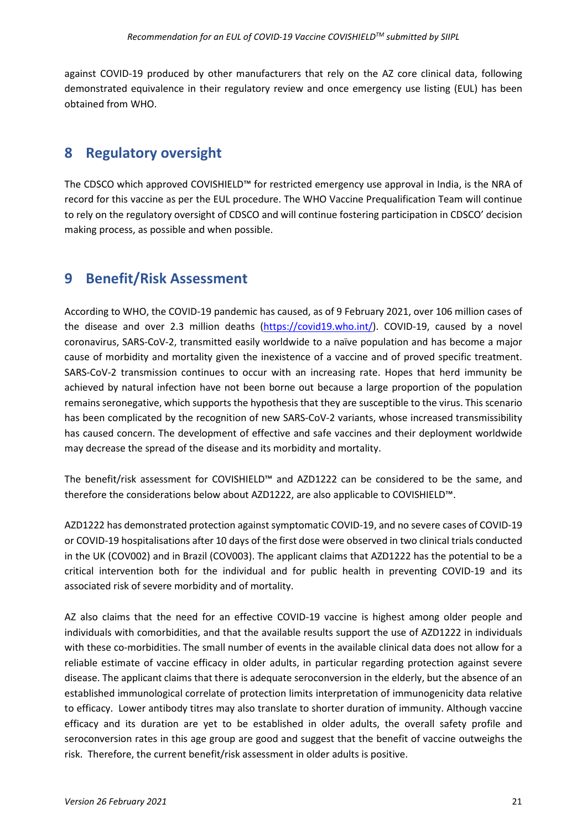against COVID-19 produced by other manufacturers that rely on the AZ core clinical data, following demonstrated equivalence in their regulatory review and once emergency use listing (EUL) has been obtained from WHO.

# **8 Regulatory oversight**

The CDSCO which approved COVISHIELD™ for restricted emergency use approval in India, is the NRA of record for this vaccine as per the EUL procedure. The WHO Vaccine Prequalification Team will continue to rely on the regulatory oversight of CDSCO and will continue fostering participation in CDSCO' decision making process, as possible and when possible.

# **9 Benefit/Risk Assessment**

According to WHO, the COVID-19 pandemic has caused, as of 9 February 2021, over 106 million cases of the disease and over 2.3 million deaths [\(https://covid19.who.int/\)](https://covid19.who.int/). COVID-19, caused by a novel coronavirus, SARS-CoV-2, transmitted easily worldwide to a naïve population and has become a major cause of morbidity and mortality given the inexistence of a vaccine and of proved specific treatment. SARS-CoV-2 transmission continues to occur with an increasing rate. Hopes that herd immunity be achieved by natural infection have not been borne out because a large proportion of the population remains seronegative, which supports the hypothesis that they are susceptible to the virus. This scenario has been complicated by the recognition of new SARS-CoV-2 variants, whose increased transmissibility has caused concern. The development of effective and safe vaccines and their deployment worldwide may decrease the spread of the disease and its morbidity and mortality.

The benefit/risk assessment for COVISHIELD™ and AZD1222 can be considered to be the same, and therefore the considerations below about AZD1222, are also applicable to COVISHIELD™.

AZD1222 has demonstrated protection against symptomatic COVID-19, and no severe cases of COVID-19 or COVID-19 hospitalisations after 10 days of the first dose were observed in two clinical trials conducted in the UK (COV002) and in Brazil (COV003). The applicant claims that AZD1222 has the potential to be a critical intervention both for the individual and for public health in preventing COVID-19 and its associated risk of severe morbidity and of mortality.

AZ also claims that the need for an effective COVID-19 vaccine is highest among older people and individuals with comorbidities, and that the available results support the use of AZD1222 in individuals with these co-morbidities. The small number of events in the available clinical data does not allow for a reliable estimate of vaccine efficacy in older adults, in particular regarding protection against severe disease. The applicant claims that there is adequate seroconversion in the elderly, but the absence of an established immunological correlate of protection limits interpretation of immunogenicity data relative to efficacy. Lower antibody titres may also translate to shorter duration of immunity. Although vaccine efficacy and its duration are yet to be established in older adults, the overall safety profile and seroconversion rates in this age group are good and suggest that the benefit of vaccine outweighs the risk. Therefore, the current benefit/risk assessment in older adults is positive.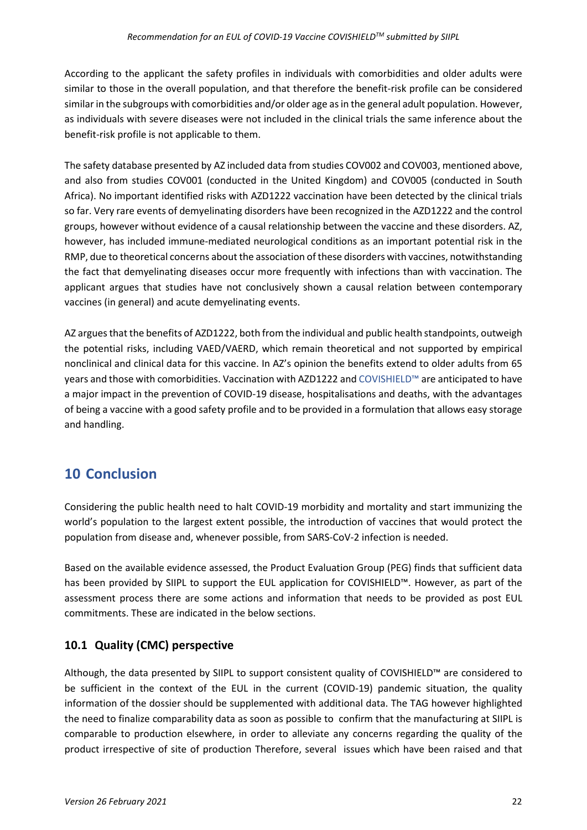According to the applicant the safety profiles in individuals with comorbidities and older adults were similar to those in the overall population, and that therefore the benefit-risk profile can be considered similar in the subgroups with comorbidities and/or older age as in the general adult population. However, as individuals with severe diseases were not included in the clinical trials the same inference about the benefit-risk profile is not applicable to them.

The safety database presented by AZ included data from studies COV002 and COV003, mentioned above, and also from studies COV001 (conducted in the United Kingdom) and COV005 (conducted in South Africa). No important identified risks with AZD1222 vaccination have been detected by the clinical trials so far. Very rare events of demyelinating disorders have been recognized in the AZD1222 and the control groups, however without evidence of a causal relationship between the vaccine and these disorders. AZ, however, has included immune-mediated neurological conditions as an important potential risk in the RMP, due to theoretical concerns about the association of these disorders with vaccines, notwithstanding the fact that demyelinating diseases occur more frequently with infections than with vaccination. The applicant argues that studies have not conclusively shown a causal relation between contemporary vaccines (in general) and acute demyelinating events.

AZ argues that the benefits of AZD1222, both from the individual and public health standpoints, outweigh the potential risks, including VAED/VAERD, which remain theoretical and not supported by empirical nonclinical and clinical data for this vaccine. In AZ's opinion the benefits extend to older adults from 65 years and those with comorbidities. Vaccination with AZD1222 and COVISHIELD™ are anticipated to have a major impact in the prevention of COVID-19 disease, hospitalisations and deaths, with the advantages of being a vaccine with a good safety profile and to be provided in a formulation that allows easy storage and handling.

# **10 Conclusion**

Considering the public health need to halt COVID-19 morbidity and mortality and start immunizing the world's population to the largest extent possible, the introduction of vaccines that would protect the population from disease and, whenever possible, from SARS-CoV-2 infection is needed.

Based on the available evidence assessed, the Product Evaluation Group (PEG) finds that sufficient data has been provided by SIIPL to support the EUL application for COVISHIELD™. However, as part of the assessment process there are some actions and information that needs to be provided as post EUL commitments. These are indicated in the below sections.

# **10.1 Quality (CMC) perspective**

Although, the data presented by SIIPL to support consistent quality of COVISHIELD™ are considered to be sufficient in the context of the EUL in the current (COVID-19) pandemic situation, the quality information of the dossier should be supplemented with additional data. The TAG however highlighted the need to finalize comparability data as soon as possible to confirm that the manufacturing at SIIPL is comparable to production elsewhere, in order to alleviate any concerns regarding the quality of the product irrespective of site of production Therefore, several issues which have been raised and that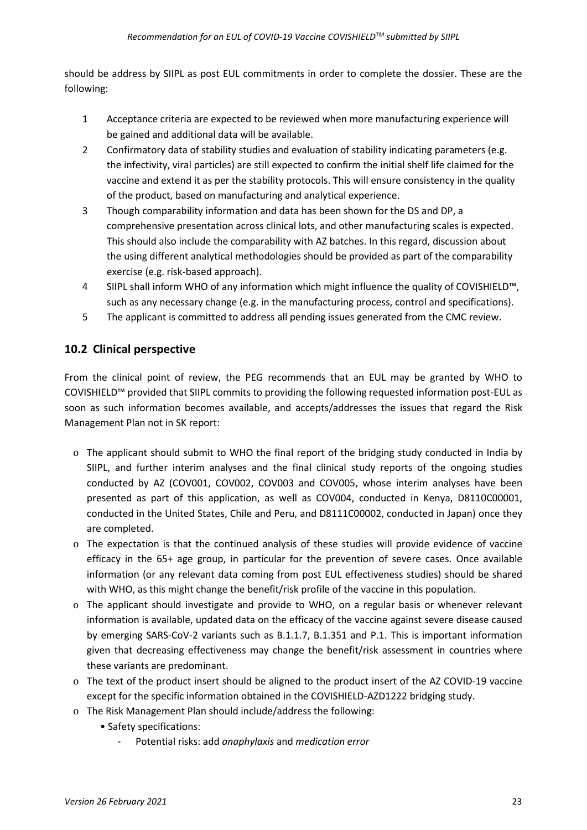should be address by SIIPL as post EUL commitments in order to complete the dossier. These are the following:

- 1 Acceptance criteria are expected to be reviewed when more manufacturing experience will be gained and additional data will be available.
- 2 Confirmatory data of stability studies and evaluation of stability indicating parameters (e.g. the infectivity, viral particles) are still expected to confirm the initial shelf life claimed for the vaccine and extend it as per the stability protocols. This will ensure consistency in the quality of the product, based on manufacturing and analytical experience.
- 3 Though comparability information and data has been shown for the DS and DP, a comprehensive presentation across clinical lots, and other manufacturing scales is expected. This should also include the comparability with AZ batches. In this regard, discussion about the using different analytical methodologies should be provided as part of the comparability exercise (e.g. risk-based approach).
- 4 SIIPL shall inform WHO of any information which might influence the quality of COVISHIELD™, such as any necessary change (e.g. in the manufacturing process, control and specifications).
- 5 The applicant is committed to address all pending issues generated from the CMC review.

## **10.2 Clinical perspective**

From the clinical point of review, the PEG recommends that an EUL may be granted by WHO to COVISHIELD™ provided that SIIPL commits to providing the following requested information post-EUL as soon as such information becomes available, and accepts/addresses the issues that regard the Risk Management Plan not in SK report:

- o The applicant should submit to WHO the final report of the bridging study conducted in India by SIIPL, and further interim analyses and the final clinical study reports of the ongoing studies conducted by AZ (COV001, COV002, COV003 and COV005, whose interim analyses have been presented as part of this application, as well as COV004, conducted in Kenya, D8110C00001, conducted in the United States, Chile and Peru, and D8111C00002, conducted in Japan) once they are completed.
- o The expectation is that the continued analysis of these studies will provide evidence of vaccine efficacy in the 65+ age group, in particular for the prevention of severe cases. Once available information (or any relevant data coming from post EUL effectiveness studies) should be shared with WHO, as this might change the benefit/risk profile of the vaccine in this population.
- o The applicant should investigate and provide to WHO, on a regular basis or whenever relevant information is available, updated data on the efficacy of the vaccine against severe disease caused by emerging SARS-CoV-2 variants such as B.1.1.7, B.1.351 and P.1. This is important information given that decreasing effectiveness may change the benefit/risk assessment in countries where these variants are predominant.
- o The text of the product insert should be aligned to the product insert of the AZ COVID-19 vaccine except for the specific information obtained in the COVISHIELD-AZD1222 bridging study.
- o The Risk Management Plan should include/address the following:
	- Safety specifications:
		- Potential risks: add *anaphylaxis* and *medication error*